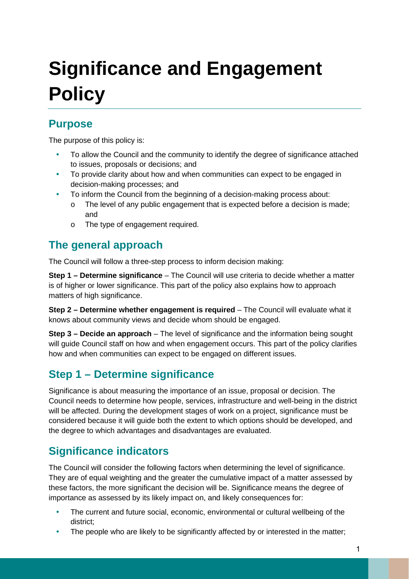# **Significance and Engagement Policy**

#### **Purpose**

The purpose of this policy is:

- To allow the Council and the community to identify the degree of significance attached to issues, proposals or decisions; and
- To provide clarity about how and when communities can expect to be engaged in decision-making processes; and
- To inform the Council from the beginning of a decision-making process about:
	- $\circ$  The level of any public engagement that is expected before a decision is made; and
	- o The type of engagement required.

## **The general approach**

The Council will follow a three-step process to inform decision making:

**Step 1 – Determine significance** – The Council will use criteria to decide whether a matter is of higher or lower significance. This part of the policy also explains how to approach matters of high significance.

**Step 2 – Determine whether engagement is required – The Council will evaluate what it** knows about community views and decide whom should be engaged.

**Step 3 – Decide an approach** – The level of significance and the information being sought will guide Council staff on how and when engagement occurs. This part of the policy clarifies how and when communities can expect to be engaged on different issues.

## **Step 1 – Determine significance**

Significance is about measuring the importance of an issue, proposal or decision. The Council needs to determine how people, services, infrastructure and well-being in the district will be affected. During the development stages of work on a project, significance must be considered because it will guide both the extent to which options should be developed, and the degree to which advantages and disadvantages are evaluated.

#### **Significance indicators**

The Council will consider the following factors when determining the level of significance. They are of equal weighting and the greater the cumulative impact of a matter assessed by these factors, the more significant the decision will be. Significance means the degree of importance as assessed by its likely impact on, and likely consequences for:

- The current and future social, economic, environmental or cultural wellbeing of the district;
- The people who are likely to be significantly affected by or interested in the matter;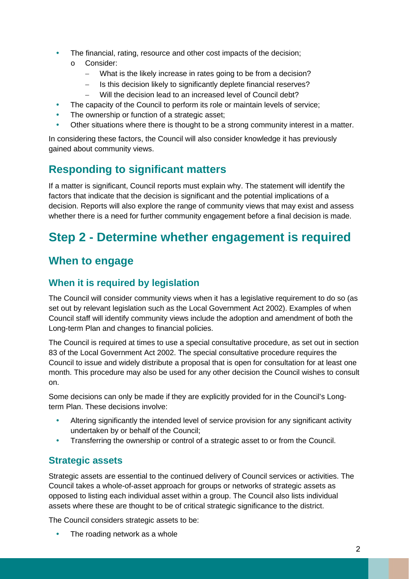- The financial, rating, resource and other cost impacts of the decision;
	- o Consider:
		- What is the likely increase in rates going to be from a decision?
		- Is this decision likely to significantly deplete financial reserves?
		- − Will the decision lead to an increased level of Council debt?
- The capacity of the Council to perform its role or maintain levels of service;
- The ownership or function of a strategic asset;
- Other situations where there is thought to be a strong community interest in a matter.

In considering these factors, the Council will also consider knowledge it has previously gained about community views.

# **Responding to significant matters**

If a matter is significant, Council reports must explain why. The statement will identify the factors that indicate that the decision is significant and the potential implications of a decision. Reports will also explore the range of community views that may exist and assess whether there is a need for further community engagement before a final decision is made.

# **Step 2 - Determine whether engagement is required**

# **When to engage**

#### **When it is required by legislation**

The Council will consider community views when it has a legislative requirement to do so (as set out by relevant legislation such as the Local Government Act 2002). Examples of when Council staff will identify community views include the adoption and amendment of both the Long-term Plan and changes to financial policies.

The Council is required at times to use a special consultative procedure, as set out in section 83 of the Local Government Act 2002. The special consultative procedure requires the Council to issue and widely distribute a proposal that is open for consultation for at least one month. This procedure may also be used for any other decision the Council wishes to consult on.

Some decisions can only be made if they are explicitly provided for in the Council's Longterm Plan. These decisions involve:

- Altering significantly the intended level of service provision for any significant activity undertaken by or behalf of the Council;
- Transferring the ownership or control of a strategic asset to or from the Council.

#### **Strategic assets**

Strategic assets are essential to the continued delivery of Council services or activities. The Council takes a whole-of-asset approach for groups or networks of strategic assets as opposed to listing each individual asset within a group. The Council also lists individual assets where these are thought to be of critical strategic significance to the district.

The Council considers strategic assets to be:

The roading network as a whole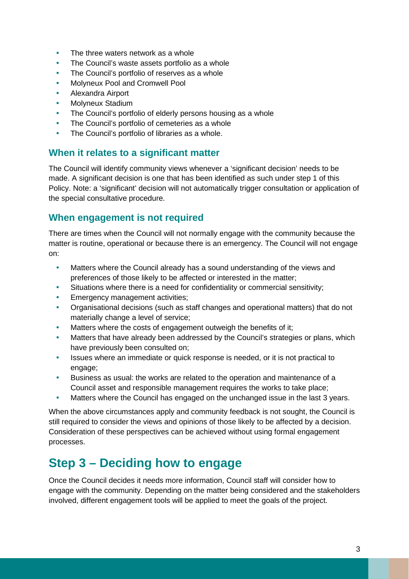- The three waters network as a whole
- The Council's waste assets portfolio as a whole
- The Council's portfolio of reserves as a whole
- Molyneux Pool and Cromwell Pool
- Alexandra Airport
- Molyneux Stadium
- The Council's portfolio of elderly persons housing as a whole
- The Council's portfolio of cemeteries as a whole
- The Council's portfolio of libraries as a whole.

#### **When it relates to a significant matter**

The Council will identify community views whenever a 'significant decision' needs to be made. A significant decision is one that has been identified as such under step 1 of this Policy. Note: a 'significant' decision will not automatically trigger consultation or application of the special consultative procedure.

#### **When engagement is not required**

There are times when the Council will not normally engage with the community because the matter is routine, operational or because there is an emergency. The Council will not engage on:

- Matters where the Council already has a sound understanding of the views and preferences of those likely to be affected or interested in the matter;
- Situations where there is a need for confidentiality or commercial sensitivity;
- Emergency management activities;
- Organisational decisions (such as staff changes and operational matters) that do not materially change a level of service;
- Matters where the costs of engagement outweigh the benefits of it;
- Matters that have already been addressed by the Council's strategies or plans, which have previously been consulted on;
- Issues where an immediate or quick response is needed, or it is not practical to engage;
- Business as usual: the works are related to the operation and maintenance of a Council asset and responsible management requires the works to take place;
- Matters where the Council has engaged on the unchanged issue in the last 3 years.

When the above circumstances apply and community feedback is not sought, the Council is still required to consider the views and opinions of those likely to be affected by a decision. Consideration of these perspectives can be achieved without using formal engagement processes.

# **Step 3 – Deciding how to engage**

Once the Council decides it needs more information, Council staff will consider how to engage with the community. Depending on the matter being considered and the stakeholders involved, different engagement tools will be applied to meet the goals of the project.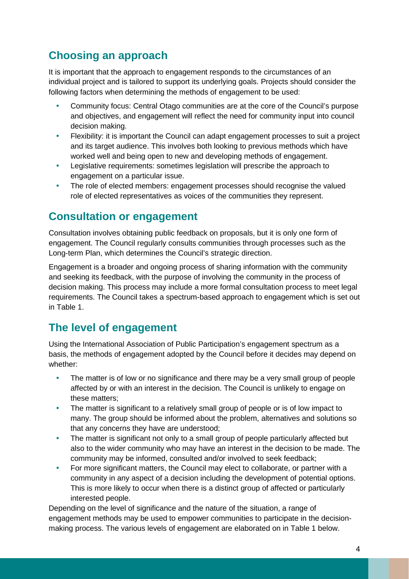# **Choosing an approach**

It is important that the approach to engagement responds to the circumstances of an individual project and is tailored to support its underlying goals. Projects should consider the following factors when determining the methods of engagement to be used:

- Community focus: Central Otago communities are at the core of the Council's purpose and objectives, and engagement will reflect the need for community input into council decision making.
- Flexibility: it is important the Council can adapt engagement processes to suit a project and its target audience. This involves both looking to previous methods which have worked well and being open to new and developing methods of engagement.
- Legislative requirements: sometimes legislation will prescribe the approach to engagement on a particular issue.
- The role of elected members: engagement processes should recognise the valued role of elected representatives as voices of the communities they represent.

#### **Consultation or engagement**

Consultation involves obtaining public feedback on proposals, but it is only one form of engagement. The Council regularly consults communities through processes such as the Long-term Plan, which determines the Council's strategic direction.

Engagement is a broader and ongoing process of sharing information with the community and seeking its feedback, with the purpose of involving the community in the process of decision making. This process may include a more formal consultation process to meet legal requirements. The Council takes a spectrum-based approach to engagement which is set out in Table 1.

## **The level of engagement**

Using the International Association of Public Participation's engagement spectrum as a basis, the methods of engagement adopted by the Council before it decides may depend on whether:

- The matter is of low or no significance and there may be a very small group of people affected by or with an interest in the decision. The Council is unlikely to engage on these matters;
- The matter is significant to a relatively small group of people or is of low impact to many. The group should be informed about the problem, alternatives and solutions so that any concerns they have are understood;
- The matter is significant not only to a small group of people particularly affected but also to the wider community who may have an interest in the decision to be made. The community may be informed, consulted and/or involved to seek feedback;
- For more significant matters, the Council may elect to collaborate, or partner with a community in any aspect of a decision including the development of potential options. This is more likely to occur when there is a distinct group of affected or particularly interested people.

Depending on the level of significance and the nature of the situation, a range of engagement methods may be used to empower communities to participate in the decisionmaking process. The various levels of engagement are elaborated on in Table 1 below.